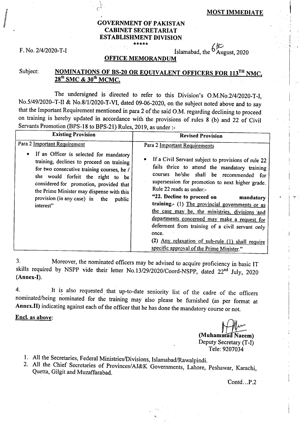## **GOVERNMENT OF PAKISTAN CABINET SECRETARIAT ESTABLISHMENT DIVISION \*\*\*\*\***

F. No. 2/4/2020-T-I  $\qquad \qquad$  Islamabad, the  $\frac{6}{\text{August}}$ , 2020

# **OFFICE MEMORANDUM**

# Subject: **NOMINATIONS OF BS-20 OR EQUIVALENT OFFICERS FOR 113<sup>TH</sup> NMC, 28<sup>th</sup> SMC & 30<sup>th</sup> MCMC.**

The undersigned is directed to refer to this Division's 0.M.No.2/4/2020-T-I, No.5/49/2020—T-II & No.8/1/2020-T-VI, dated 09-06-2020, on the subject noted above and to say that the Important Requirement mentioned in para 2 of the said O.M. regarding declining to proceed on training is hereby updated in accordance with the provisions of rules 8 (b) and 22 of Civil Servants Promotion (BPS-18 to BPS-21) Rules, 2019, as under :-

| <b>Existing Provision</b>                                                                                                                                                                                                                                                                                                                                             | <b>Revised Provision</b>                                                                                                                                                                                                                                                                                                                                                                                                                                                                                                                                                                                                     |  |  |
|-----------------------------------------------------------------------------------------------------------------------------------------------------------------------------------------------------------------------------------------------------------------------------------------------------------------------------------------------------------------------|------------------------------------------------------------------------------------------------------------------------------------------------------------------------------------------------------------------------------------------------------------------------------------------------------------------------------------------------------------------------------------------------------------------------------------------------------------------------------------------------------------------------------------------------------------------------------------------------------------------------------|--|--|
| Para 2 Important Requirement<br>If an Officer is selected for mandatory<br>$\bullet$<br>training, declines to proceed on training<br>for two consecutive training courses, he /<br>she would forfeit the right to be<br>considered for promotion, provided that<br>the Prime Minister may dispense with this<br>provision (in any case) in the<br>public<br>interest" | Para 2 Important Requirements<br>If a Civil Servant subject to provisions of rule 22<br>fails thrice to attend the mandatory training<br>courses he/she shall be recommended for<br>supersession for promotion to next higher grade.<br>Rule 22 reads as under:-<br>"22. Decline to proceed on<br>mandatory<br>training. (1) The provincial governments or as<br>the case may be, the ministries, divisions and<br>departments concerned may make a request for<br>deferment from training of a civil servant only<br>once.<br>(2) Any relaxation of sub-rule (1) shall require<br>specific approval of the Prime Minister." |  |  |

Moreover, the nominated officers may be advised to acquire proficiency in basic IT 3. skills required by NSPP vide their letter No.13/29/2020/Coord-NSPP, dated **22nd** July, 2020 **(Annex-I).** 

It is also requested that up-to-date seniority list of the cadre of the officers  $4.$ nominated/being nominated for the training may also please be furnished (as per format at **Annex.II)** indicating against each of the officer that he has done the mandatory course or not.

**Encl, as above:** 

**(Muhammad Naeem)** Deputy Secretary (T-I) Tele: 9207034

- 1. All the Secretaries, Federal Ministries/Divisions, Islamabad/Rawalpindi.
- All the Chief Secretaries of Provinces/AJ&K Governments, Lahore, Peshawar, Karachi, Quetta, Gilgit and Muzaffarabad.

Contd...P.2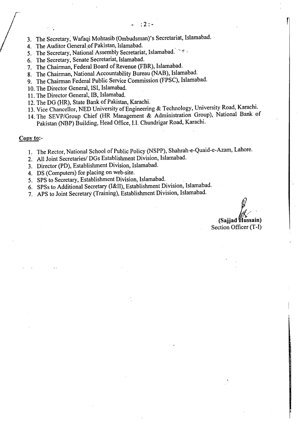- The Secretary, Wafaqi Mohtasib (Ombudsman)'s Secretariat, Islamabad.
- 4. The Auditor General of Pakistan, Islamabad.
- 5. The Secretary, National Assembly Secretariat, Islamabad.  $\frac{1}{2}$
- The Secretary, Senate Secretariat, Islamabad.
- 7. The Chairman, Federal Board of Revenue (FBR), Islamabad.
- The Chairman, National Accountability Bureau (NAB), Islamabad.
- The Chairman Federal Public Service Commission (FPSC), Islamabad.
- 10. The Director General, ISI, Islamabad.
- 11. The Director General, IB, Islamabad.
- 12. The DG (HR), State Bank of Pakistan, Karachi.
- 13. Vice Chancellor, NED University of Engineering & Technology, University Road, Karachi.
- 14. The SEVP/Group Chief (HR Management & Administration Group), National Bank of Pakistan (NBP) Building, Head Office, I.I. Chundrigar Road, Karachi.

#### Copy to:-

- 1. The Rector, National School of Public Policy (NSPP), Shahrah-e-Quaid-e-Azam, Lahore.
- All Joint Secretaries/ DGs Establishment Division, Islamabad.
- 3. Director (PD), Establishment Division, Islamabad.
- DS (Computers) for placing on web-site.
- 5. SPS to Secretary, Establishment Division, Islamabad.
- SPSs to Additional Secretary (I&II), Establishment Division, Islamabad.
- APS to Joint Secretary (Training), Establishment Division, Islamabad.

(Sajjad Hussain) Section Officer (T-I)

!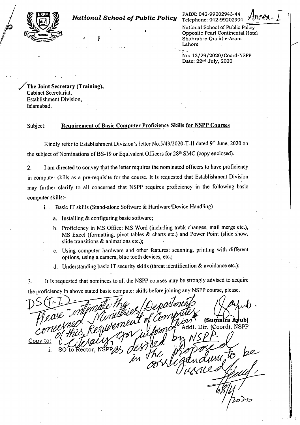

National School of Public Policy Opposite Pearl Continental Hotel Shahrah-e-Quaid-e-Azam Lahore

No: 13/29/2020/Coord-NSPP Date: 22nd July, 2020

/The Joint Secretary (Training), Cabinet Secretariat, Establishment Division, Islamabad.

## Subject: Requirement of Basic Computer Proficiency Skills for NSPP Courses

Kindly refer to Establishment Division's letter No.5/49/2020-T-II dated 9<sup>th</sup> June, 2020 on the subject of Nominations of BS-19 or Equivalent Officers for 28<sup>th</sup> SMC (copy enclosed).

2. I am directed to convey that the letter requires the nominated officers to have proficiency in computer skills as a pre-requisite for the course. It is requested that Establishment Division may further clarify to all concerned that NSPP requires proficiency in the following basic computer skills:-

- i. Basic IT skills (Stand-alone Software & Hardware/Device Handling)
	- a. Installing & configuring basic software;
	- b. Proficiency in MS Office: MS Word (including track changes, mail merge etc.), MS Excel (formatting, pivot tables & charts etc.) and Power Point (slide show, slide transitions & animations etc.);
	- c. Using computer hardware and other features: scanning, printing with different options, using a camera, blue tooth devices, etc.;
	- d. Understanding basic IT security skills (threat identification & avoidance etc.);

3. It is requested that nominees to all the NSPP courses may be strongly advised to acquire the proficiency in above stated basic computer skills before joining any NSPP course, please.

**(Sumaira Avub)** Addl. Dir.  $($ Coord $)$ , NSPP Y Il **Copy to: <sup>7</sup>** to Rector.